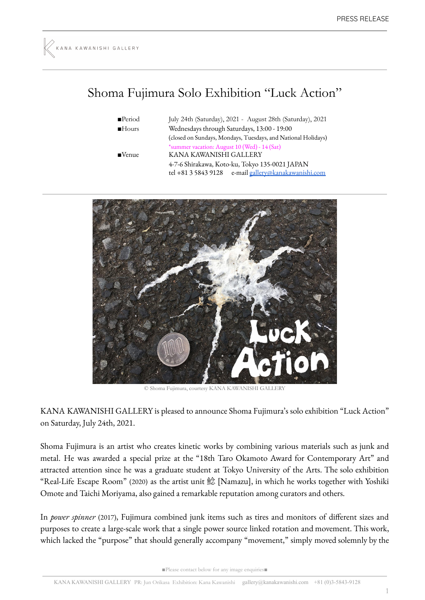## Shoma Fujimura Solo Exhibition "Luck Action"

| $\blacksquare$ Period | July 24th (Saturday), 2021 - August 28th (Saturday), 2021     |
|-----------------------|---------------------------------------------------------------|
| Hours                 | Wednesdays through Saturdays, 13:00 - 19:00                   |
|                       | (closed on Sundays, Mondays, Tuesdays, and National Holidays) |
|                       | *summer vacation: August 10 (Wed) - 14 (Sat)                  |
| $\blacksquare$ Venue  | KANA KAWANISHI GALLERY                                        |
|                       | 4-7-6 Shirakawa, Koto-ku, Tokyo 135-0021 JAPAN                |
|                       | tel +81 3 5843 9128 e-mail gallery@kanakawanishi.com          |



© Shoma Fujimura, courtesy KANA KAWANISHI GALLERY

KANA KAWANISHI GALLERY is pleased to announce Shoma Fujimura's solo exhibition "Luck Action" on Saturday, July 24th, 2021.

Shoma Fujimura is an artist who creates kinetic works by combining various materials such as junk and metal. He was awarded a special prize at the "18th Taro Okamoto Award for Contemporary Art" and attracted attention since he was a graduate student at Tokyo University of the Arts. The solo exhibition "Real-Life Escape Room" (2020) as the artist unit 鯰 [Namazu], in which he works together with Yoshiki Omote and Taichi Moriyama, also gained a remarkable reputation among curators and others.

In *power spinner* (2017), Fujimura combined junk items such as tires and monitors of different sizes and purposes to create a large-scale work that a single power source linked rotation and movement. This work, which lacked the "purpose" that should generally accompany "movement," simply moved solemnly by the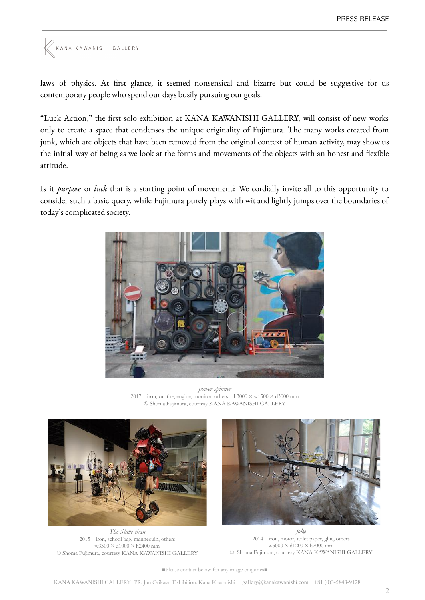```
KANA KAWANISHI GALLERY
```
laws of physics. At first glance, it seemed nonsensical and bizarre but could be suggestive for us contemporary people who spend our days busily pursuing our goals.

"Luck Action," the first solo exhibition at KANA KAWANISHI GALLERY, will consist of new works only to create a space that condenses the unique originality of Fujimura. The many works created from junk, which are objects that have been removed from the original context of human activity, may show us the initial way of being as we look at the forms and movements of the objects with an honest and flexible attitude.

Is it *purpose* or *luck* that is a starting point of movement? We cordially invite all to this opportunity to consider such a basic query, while Fujimura purely plays with wit and lightly jumps over the boundaries of today's complicated society.



*power spinner* 2017 | iron, car tire, engine, monitor, others | h3000  $\times$  w1500  $\times$  d3000 mm © Shoma Fujimura, courtesy KANA KAWANISHI GALLERY



*The Slave-chan* 2015 | iron, school bag, mannequin, others w3300 × d1000 × h2400 mm © Shoma Fujimura, courtesy KANA KAWANISHI GALLERY



*joke* 2014 | iron, motor, toilet paper, glue, others  $\rm w5000 \times d1200 \times h2000$  mm © Shoma Fujimura, courtesy KANA KAWANISHI GALLERY

■Please contact below for any image enquiries■